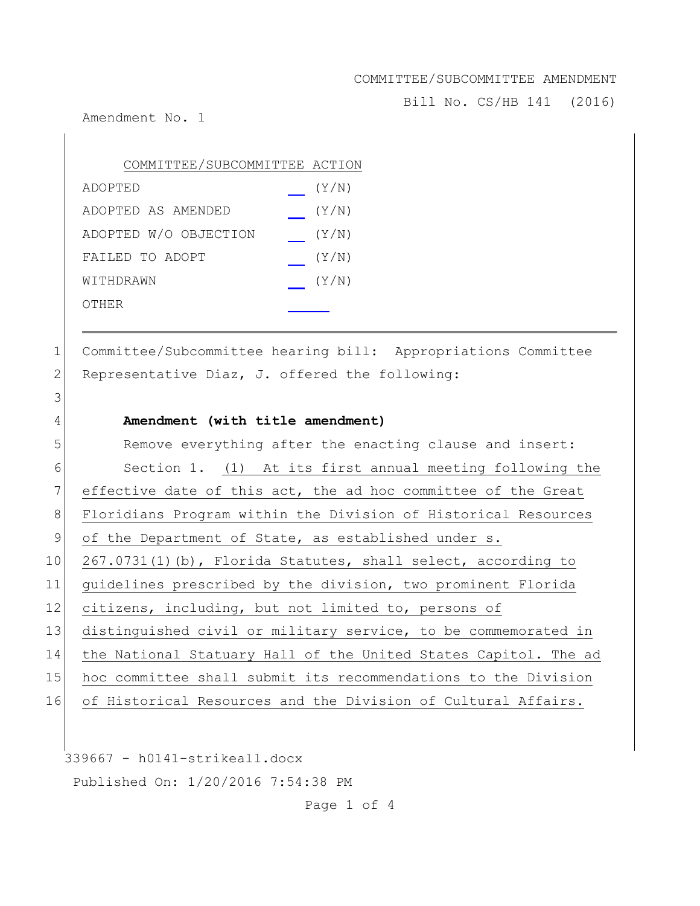Bill No. CS/HB 141 (2016)

Amendment No. 1

3

| COMMITTEE/SUBCOMMITTEE ACTION |       |
|-------------------------------|-------|
| ADOPTED                       | (Y/N) |
| ADOPTED AS AMENDED            | (Y/N) |
| ADOPTED W/O OBJECTION         | (Y/N) |
| FAILED TO ADOPT               | (Y/N) |
| WITHDRAWN                     | (Y/N) |
| OTHER                         |       |

1 Committee/Subcommittee hearing bill: Appropriations Committee 2 Representative Diaz, J. offered the following:

#### 4 **Amendment (with title amendment)**

5 Remove everything after the enacting clause and insert: 6 Section 1. (1) At its first annual meeting following the 7 effective date of this act, the ad hoc committee of the Great 8 Floridians Program within the Division of Historical Resources 9 of the Department of State, as established under s. 10 267.0731(1)(b), Florida Statutes, shall select, according to 11 guidelines prescribed by the division, two prominent Florida 12 citizens, including, but not limited to, persons of 13 distinguished civil or military service, to be commemorated in 14 the National Statuary Hall of the United States Capitol. The ad 15 hoc committee shall submit its recommendations to the Division 16 of Historical Resources and the Division of Cultural Affairs.

339667 - h0141-strikeall.docx Published On: 1/20/2016 7:54:38 PM

Page 1 of 4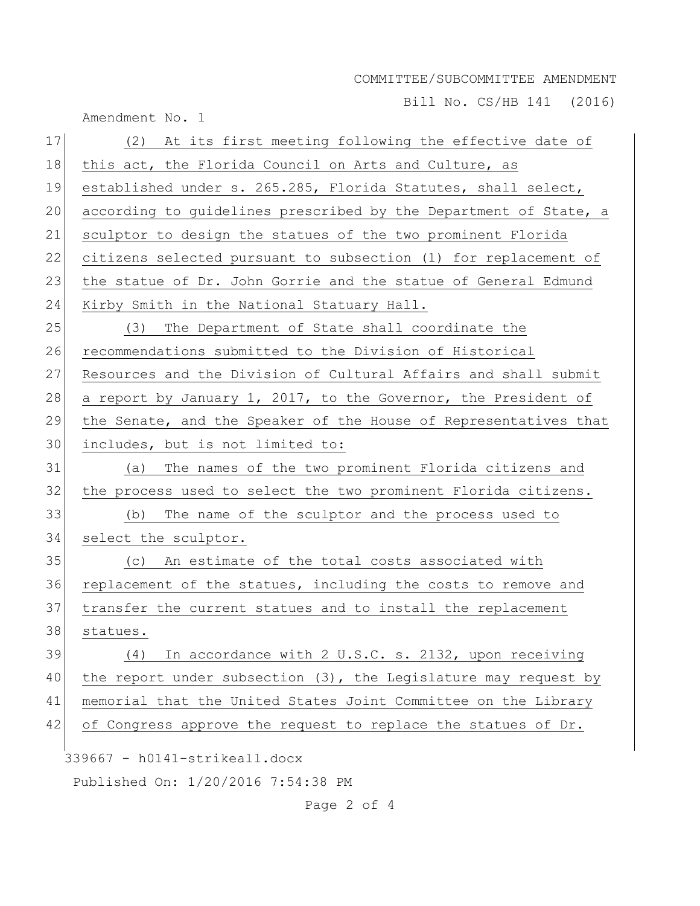Bill No. CS/HB 141 (2016)

|    | Amendment No. 1                                                    |
|----|--------------------------------------------------------------------|
| 17 | (2) At its first meeting following the effective date of           |
| 18 | this act, the Florida Council on Arts and Culture, as              |
| 19 | established under s. 265.285, Florida Statutes, shall select,      |
| 20 | according to guidelines prescribed by the Department of State, a   |
| 21 | sculptor to design the statues of the two prominent Florida        |
| 22 | citizens selected pursuant to subsection (1) for replacement of    |
| 23 | the statue of Dr. John Gorrie and the statue of General Edmund     |
| 24 | Kirby Smith in the National Statuary Hall.                         |
| 25 | The Department of State shall coordinate the<br>(3)                |
| 26 | recommendations submitted to the Division of Historical            |
| 27 | Resources and the Division of Cultural Affairs and shall submit    |
| 28 | a report by January 1, 2017, to the Governor, the President of     |
| 29 | the Senate, and the Speaker of the House of Representatives that   |
| 30 | includes, but is not limited to:                                   |
| 31 | (a) The names of the two prominent Florida citizens and            |
| 32 | the process used to select the two prominent Florida citizens.     |
| 33 | The name of the sculptor and the process used to<br>(b)            |
| 34 | select the sculptor.                                               |
| 35 | (c) An estimate of the total costs associated with                 |
| 36 | replacement of the statues, including the costs to remove and      |
| 37 | transfer the current statues and to install the replacement        |
| 38 | statues.                                                           |
| 39 | In accordance with 2 U.S.C. s. 2132, upon receiving<br>(4)         |
| 40 | the report under subsection $(3)$ , the Legislature may request by |
| 41 | memorial that the United States Joint Committee on the Library     |
| 42 | of Congress approve the request to replace the statues of Dr.      |
|    | 339667 - h0141-strikeall.docx                                      |
|    | Published On: 1/20/2016 7:54:38 PM                                 |
|    |                                                                    |

Page 2 of 4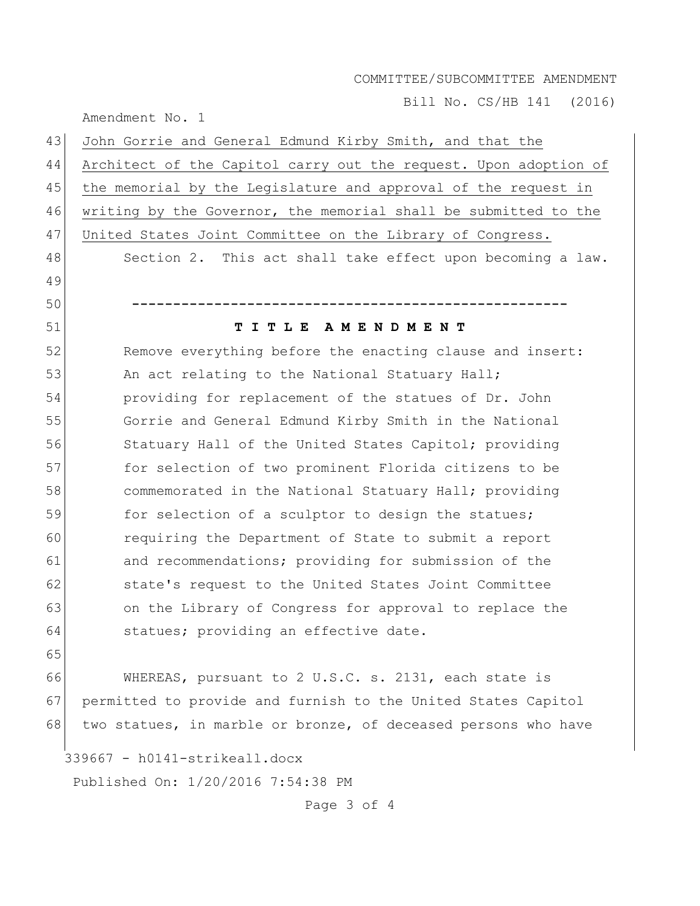Bill No. CS/HB 141 (2016)

Amendment No. 1

| 43                                 | John Gorrie and General Edmund Kirby Smith, and that the         |  |
|------------------------------------|------------------------------------------------------------------|--|
| 44                                 | Architect of the Capitol carry out the request. Upon adoption of |  |
| 45                                 | the memorial by the Legislature and approval of the request in   |  |
| 46                                 | writing by the Governor, the memorial shall be submitted to the  |  |
| 47                                 | United States Joint Committee on the Library of Congress.        |  |
| 48                                 | Section 2. This act shall take effect upon becoming a law.       |  |
| 49                                 |                                                                  |  |
| 50                                 |                                                                  |  |
| 51                                 | TITLE AMENDMENT                                                  |  |
| 52                                 | Remove everything before the enacting clause and insert:         |  |
| 53                                 | An act relating to the National Statuary Hall;                   |  |
| 54                                 | providing for replacement of the statues of Dr. John             |  |
| 55                                 | Gorrie and General Edmund Kirby Smith in the National            |  |
| 56                                 | Statuary Hall of the United States Capitol; providing            |  |
| 57                                 | for selection of two prominent Florida citizens to be            |  |
| 58                                 | commemorated in the National Statuary Hall; providing            |  |
| 59                                 | for selection of a sculptor to design the statues;               |  |
| 60                                 | requiring the Department of State to submit a report             |  |
| 61                                 | and recommendations; providing for submission of the             |  |
| 62                                 | state's request to the United States Joint Committee             |  |
| 63                                 | on the Library of Congress for approval to replace the           |  |
| 64                                 | statues; providing an effective date.                            |  |
| 65                                 |                                                                  |  |
| 66                                 | WHEREAS, pursuant to 2 U.S.C. s. 2131, each state is             |  |
| 67                                 | permitted to provide and furnish to the United States Capitol    |  |
| 68                                 | two statues, in marble or bronze, of deceased persons who have   |  |
|                                    | 339667 - h0141-strikeall.docx                                    |  |
| Published On: 1/20/2016 7:54:38 PM |                                                                  |  |
|                                    |                                                                  |  |

Page 3 of 4